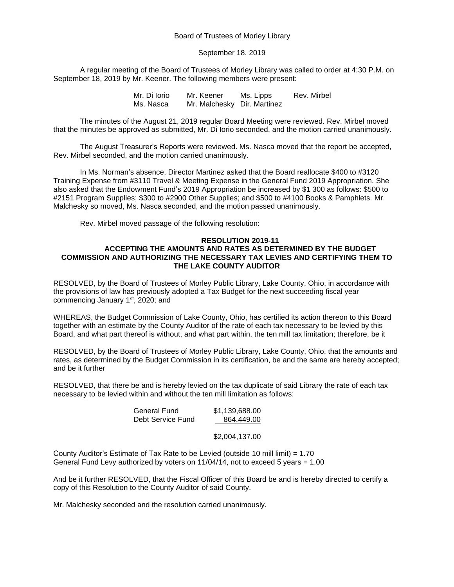## Board of Trustees of Morley Library

## September 18, 2019

A regular meeting of the Board of Trustees of Morley Library was called to order at 4:30 P.M. on September 18, 2019 by Mr. Keener. The following members were present:

> Mr. Di Iorio Mr. Keener Ms. Lipps Rev. Mirbel Ms. Nasca Mr. Malchesky Dir. Martinez

The minutes of the August 21, 2019 regular Board Meeting were reviewed. Rev. Mirbel moved that the minutes be approved as submitted, Mr. Di Iorio seconded, and the motion carried unanimously.

The August Treasurer's Reports were reviewed. Ms. Nasca moved that the report be accepted, Rev. Mirbel seconded, and the motion carried unanimously.

In Ms. Norman's absence, Director Martinez asked that the Board reallocate \$400 to #3120 Training Expense from #3110 Travel & Meeting Expense in the General Fund 2019 Appropriation. She also asked that the Endowment Fund's 2019 Appropriation be increased by \$1 300 as follows: \$500 to #2151 Program Supplies; \$300 to #2900 Other Supplies; and \$500 to #4100 Books & Pamphlets. Mr. Malchesky so moved, Ms. Nasca seconded, and the motion passed unanimously.

Rev. Mirbel moved passage of the following resolution:

#### **RESOLUTION 2019-11**

# **ACCEPTING THE AMOUNTS AND RATES AS DETERMINED BY THE BUDGET COMMISSION AND AUTHORIZING THE NECESSARY TAX LEVIES AND CERTIFYING THEM TO THE LAKE COUNTY AUDITOR**

RESOLVED, by the Board of Trustees of Morley Public Library, Lake County, Ohio, in accordance with the provisions of law has previously adopted a Tax Budget for the next succeeding fiscal year commencing January 1<sup>st</sup>, 2020; and

WHEREAS, the Budget Commission of Lake County, Ohio, has certified its action thereon to this Board together with an estimate by the County Auditor of the rate of each tax necessary to be levied by this Board, and what part thereof is without, and what part within, the ten mill tax limitation; therefore, be it

RESOLVED, by the Board of Trustees of Morley Public Library, Lake County, Ohio, that the amounts and rates, as determined by the Budget Commission in its certification, be and the same are hereby accepted; and be it further

RESOLVED, that there be and is hereby levied on the tax duplicate of said Library the rate of each tax necessary to be levied within and without the ten mill limitation as follows:

| General Fund      | \$1,139,688.00 |
|-------------------|----------------|
| Debt Service Fund | 864.449.00     |

## \$2,004,137.00

County Auditor's Estimate of Tax Rate to be Levied (outside 10 mill limit) = 1.70 General Fund Levy authorized by voters on  $11/04/14$ , not to exceed 5 years = 1.00

And be it further RESOLVED, that the Fiscal Officer of this Board be and is hereby directed to certify a copy of this Resolution to the County Auditor of said County.

Mr. Malchesky seconded and the resolution carried unanimously.